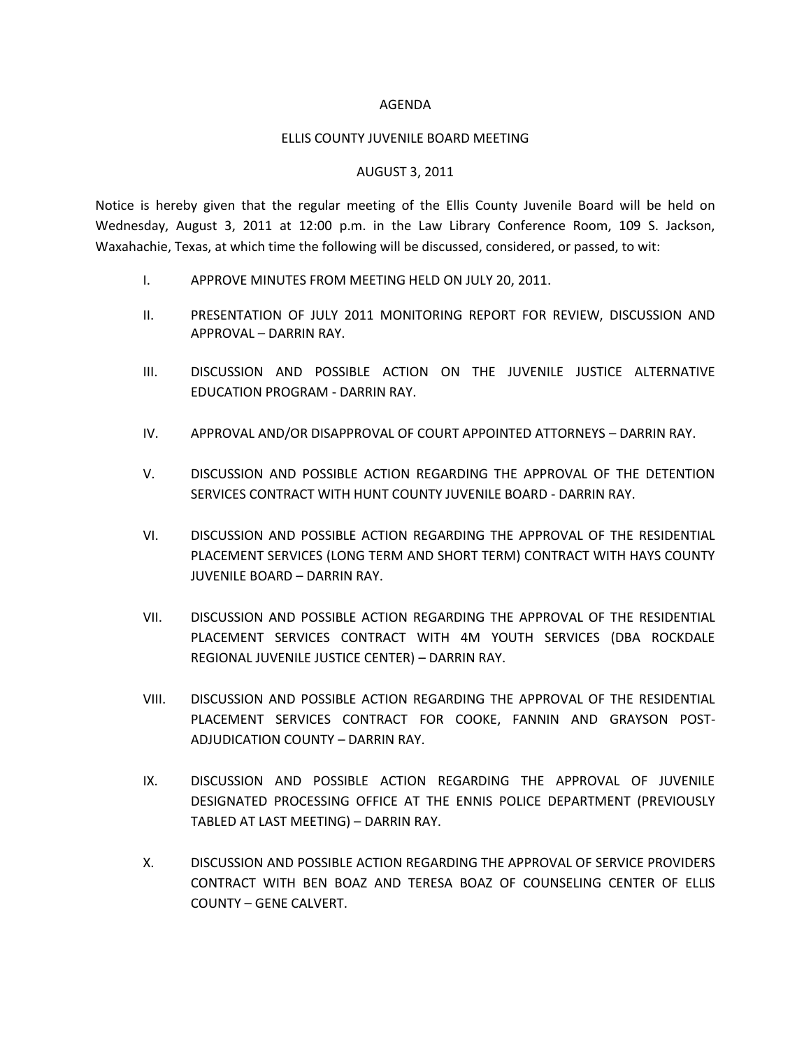## AGENDA

## ELLIS COUNTY JUVENILE BOARD MEETING

## AUGUST 3, 2011

Notice is hereby given that the regular meeting of the Ellis County Juvenile Board will be held on Wednesday, August 3, 2011 at 12:00 p.m. in the Law Library Conference Room, 109 S. Jackson, Waxahachie, Texas, at which time the following will be discussed, considered, or passed, to wit:

- I. APPROVE MINUTES FROM MEETING HELD ON JULY 20, 2011.
- II. PRESENTATION OF JULY 2011 MONITORING REPORT FOR REVIEW, DISCUSSION AND APPROVAL – DARRIN RAY.
- III. DISCUSSION AND POSSIBLE ACTION ON THE JUVENILE JUSTICE ALTERNATIVE EDUCATION PROGRAM - DARRIN RAY.
- IV. APPROVAL AND/OR DISAPPROVAL OF COURT APPOINTED ATTORNEYS DARRIN RAY.
- V. DISCUSSION AND POSSIBLE ACTION REGARDING THE APPROVAL OF THE DETENTION SERVICES CONTRACT WITH HUNT COUNTY JUVENILE BOARD - DARRIN RAY.
- VI. DISCUSSION AND POSSIBLE ACTION REGARDING THE APPROVAL OF THE RESIDENTIAL PLACEMENT SERVICES (LONG TERM AND SHORT TERM) CONTRACT WITH HAYS COUNTY JUVENILE BOARD – DARRIN RAY.
- VII. DISCUSSION AND POSSIBLE ACTION REGARDING THE APPROVAL OF THE RESIDENTIAL PLACEMENT SERVICES CONTRACT WITH 4M YOUTH SERVICES (DBA ROCKDALE REGIONAL JUVENILE JUSTICE CENTER) – DARRIN RAY.
- VIII. DISCUSSION AND POSSIBLE ACTION REGARDING THE APPROVAL OF THE RESIDENTIAL PLACEMENT SERVICES CONTRACT FOR COOKE, FANNIN AND GRAYSON POST-ADJUDICATION COUNTY – DARRIN RAY.
- IX. DISCUSSION AND POSSIBLE ACTION REGARDING THE APPROVAL OF JUVENILE DESIGNATED PROCESSING OFFICE AT THE ENNIS POLICE DEPARTMENT (PREVIOUSLY TABLED AT LAST MEETING) – DARRIN RAY.
- X. DISCUSSION AND POSSIBLE ACTION REGARDING THE APPROVAL OF SERVICE PROVIDERS CONTRACT WITH BEN BOAZ AND TERESA BOAZ OF COUNSELING CENTER OF ELLIS COUNTY – GENE CALVERT.